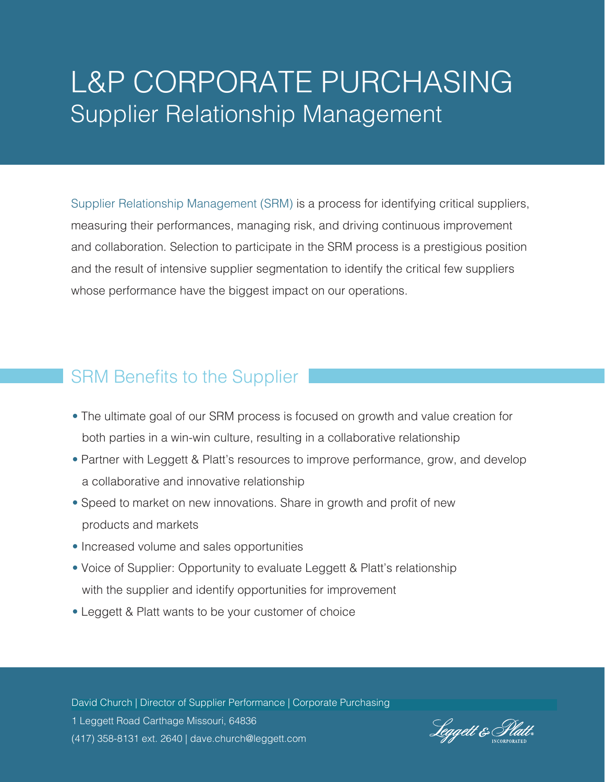# L&P CORPORATE PURCHASING Supplier Relationship Management

Supplier Relationship Management (SRM) is a process for identifying critical suppliers, measuring their performances, managing risk, and driving continuous improvement and collaboration. Selection to participate in the SRM process is a prestigious position and the result of intensive supplier segmentation to identify the critical few suppliers whose performance have the biggest impact on our operations.

## SRM Benefits to the Supplier

- The ultimate goal of our SRM process is focused on growth and value creation for both parties in a win-win culture, resulting in a collaborative relationship
- Partner with Leggett & Platt's resources to improve performance, grow, and develop a collaborative and innovative relationship
- Speed to market on new innovations. Share in growth and profit of new products and markets
- Increased volume and sales opportunities
- Voice of Supplier: Opportunity to evaluate Leggett & Platt's relationship with the supplier and identify opportunities for improvement
- Leggett & Platt wants to be your customer of choice

David Church | Director of Supplier Performance | Corporate Purchasing 1 Leggett Road Carthage Missouri, 64836 (417) 358-8131 ext. 2640 | dave.church@leggett.com

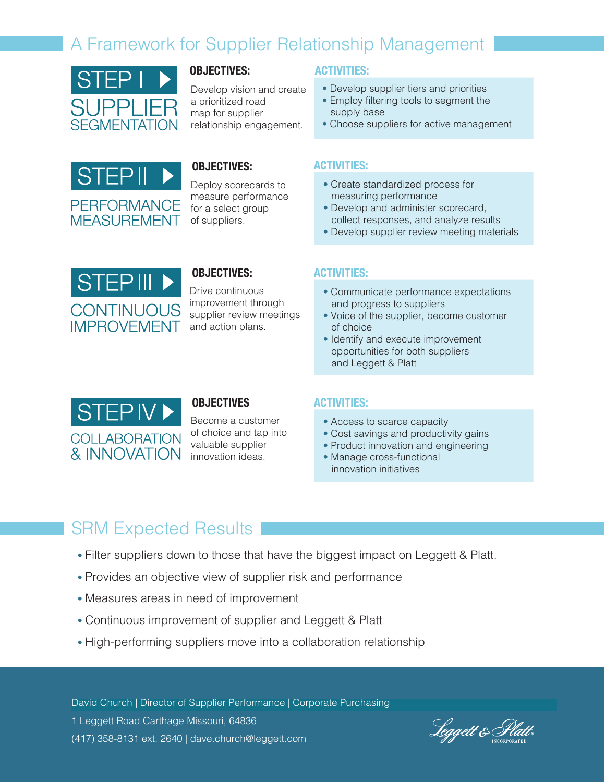## A Framework for Supplier Relationship Management



Develop vision and create a prioritized road map for supplier relationship engagement.



#### **OBJECTIVES: ACTIVITIES:**

Deploy scorecards to measure performance for a select group of suppliers.

#### **OBJECTIVES: ACTIVITIES:**

- Develop supplier tiers and priorities
- Employ filtering tools to segment the supply base
- Choose suppliers for active management

- Create standardized process for measuring performance
- Develop and administer scorecard, collect responses, and analyze results
- Develop supplier review meeting materials



#### **OBJECTIVES: ACTIVITIES:**

Drive continuous improvement through supplier review meetings and action plans.

- Communicate performance expectations and progress to suppliers
- Voice of the supplier, become customer of choice
- Identify and execute improvement opportunities for both suppliers and Leggett & Platt



### **OBJECTIVES ACTIVITIES:**

Become a customer of choice and tap into valuable supplier innovation ideas.

- Access to scarce capacity
- Cost savings and productivity gains
- Product innovation and engineering
- Manage cross-functional innovation initiatives

## SRM Expected Results

- Filter suppliers down to those that have the biggest impact on Leggett & Platt.
- Provides an objective view of supplier risk and performance
- Measures areas in need of improvement
- Continuous improvement of supplier and Leggett & Platt
- High-performing suppliers move into a collaboration relationship

David Church | Director of Supplier Performance | Corporate Purchasing 1 Leggett Road Carthage Missouri, 64836 (417) 358-8131 ext. 2640 | dave.church@leggett.com

Leggett & Plu